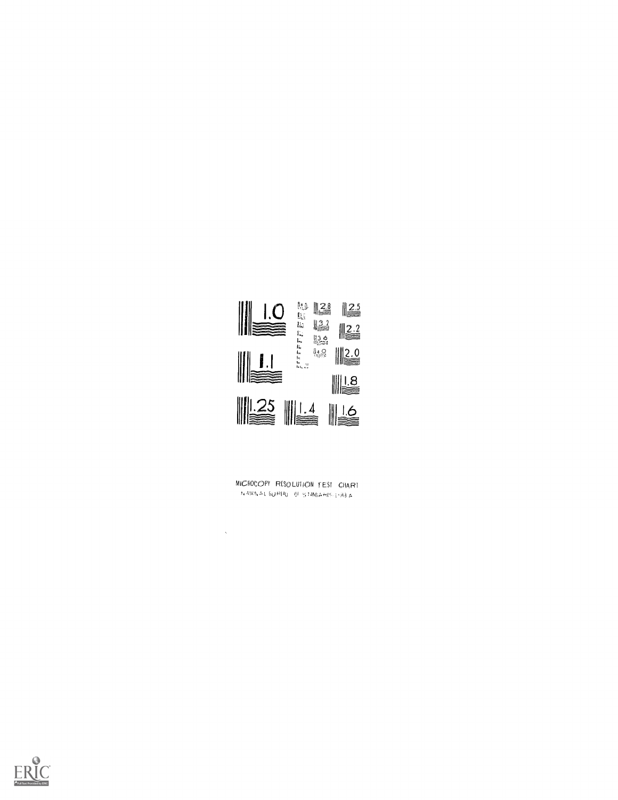

MICROCOPY RESOLUTION TEST CHART  $\text{ is ANDA} \land \text{L} \text{ by } \text{P(Ay)} \text{ of } \text{S} \text{ IMQA} \text{ and } \text{S} \text{ is in } \text{A}.$ 

 $\sim$   $\sim$ 

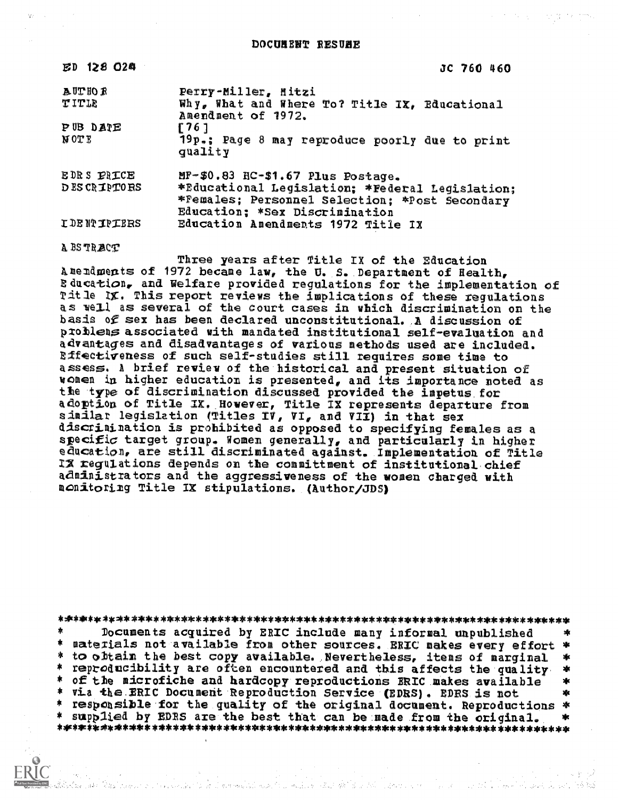| ED 128 024                     | JC 760 460                                                                                                                             |
|--------------------------------|----------------------------------------------------------------------------------------------------------------------------------------|
| <b>AUTHOR</b><br>TITLE         | Perry-Miller, Mitzi<br>Why, What and Where To? Title IX, Educational<br>Amendment of 1972.                                             |
| <b>PUB DATE</b><br><b>NOTE</b> | F 76 1<br>19p.: Page 8 may reproduce poorly due to print<br>quality                                                                    |
| EDRS PRICE<br>DES CRIPTORS     | MF-\$0.83 HC-\$1.67 Plus Postage.<br>*Educational Legislation; *Federal Legislation;<br>*Females; Personnel Selection; *Post Secondary |
| <b>IDENTIPIERS</b>             | Education; *Sex Discrimination<br>Education Amendments 1972 Title IX                                                                   |

A BS TRACT

Three years after Title IX of the Education A mendments of 1972 became law, the U.S. Department of Health, Education, and Welfare provided regulations for the implementation of Title IX. This report reviews the implications of these regulations as well as several of the court cases in which discrimination on the basis of sex has been declared unconstitutional. A discussion of problems associated with mandated institutional self-evaluation and advantages and disadvantages of various methods used are included. Bffectiveness of such self-studies still requires some time to assess. A brief review of the historical and present situation of<br>women in higher education is presented, and its importance noted as the type of discrimination discussed provided the impetus for adoption of Title IX. However, Title IX represents departure from<br>similar legislation (Titles IV, VI, and VII) in that sex discrimination is prohibited as opposed to specifying females as a specific target group. Women generally, and particularly in higher education, are still discriminated against. Implementation of Title IX regulations depends on the committment of institutional chief administrators and the aggressiveness of the women charged with monitoring Title IX stipulations. (Author/JDS)

Documents acquired by ERIC include many informal unpublished 素 materials not available from other sources. ERIC makes every effort \* \* to obtain the best copy available. Nevertheless, items of marginal 家 \* reproducibility are often encountered and this affects the quality 冰 \* of the microfiche and hardcopy reproductions ERIC makes available  $\mathbf{v}$ \* via the ERIC Document Reproduction Service (EDRS). EDRS is not xk. \* responsible for the quality of the original document. Reproductions \* \* supplied by EDRS are the best that can be made from the original.  $\frac{1}{2}$ 

a provided to be a green which was to a small be added to the control of the control of the control of the contr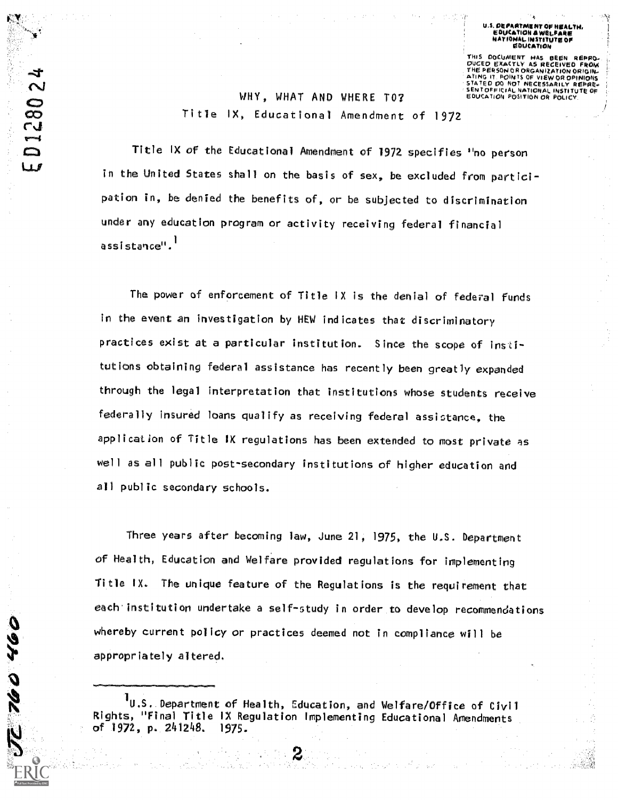**DOCLIMENT** EDUCATION POSITION OR POLIC

## WHY, WHAT AND WHERE TO? Title IX, Educational Amendment of 1972

 $\tilde{\sim}$ 

01280

23

992

Title IX of the Educational Amendment of 1972 specifies "no person in the United States shall on the basis of sex, be excluded from participation in, be denied the benefits of, or be subjected to discrimination under any education program or activity receiving federal financial assistance",

The power of enforcement of Title IX is the denial of federal funds in the event an investigation by HEW indicates that discriminatory practices exist at a particular institution. Since the scope of institutions obtaining federal assistance has recently been greatly expanded through the legal interpretation that institutions whose students receive federally insured loans qualify as receiving federal assistance, the application of Title IX regulations has been extended to most private as well as all public post-secondary institutions of higher education and all public secondary schools.

Three years after becoming law, June 21, 1975, the U.S. Department of Health, Education and Welfare provided regulations for implementing Title IX. The unique feature of the Regulations is the requirement that each institution undertake a self-study in order to develop recommendations whereby current policy or practices deemed not in compliance will be appropriately altered.

 $\mathbf 1_{\mathsf U}$ .S. Department of Health, Education, and Welfare/Office of Civil Rights, "Final Title IX Regulation Implementing Educational Amendments of 1972, p. 241248. 1975.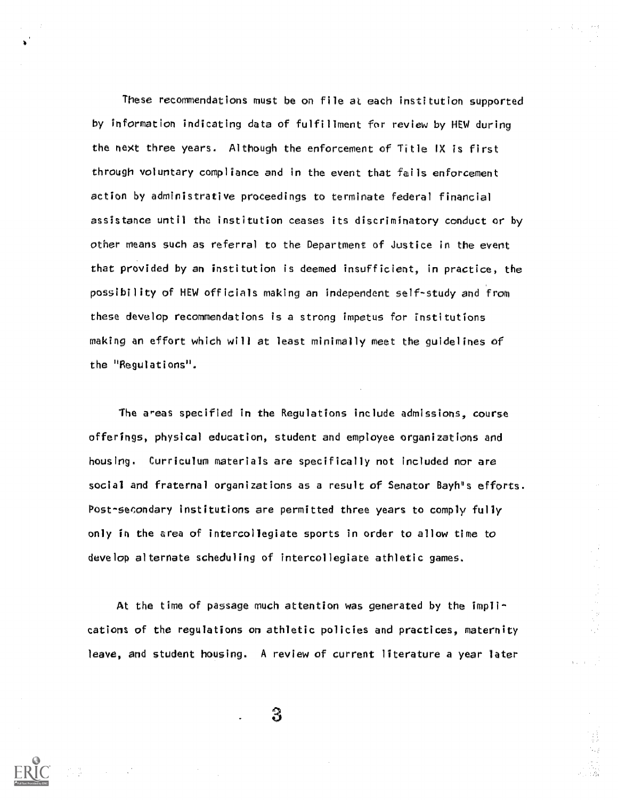These recommendations must be on file at each institution supported by information indicating data of fulfillment for review by HEW during the next three years. Although the enforcement of Title IX is first through voluntary compliance and in the event that fails enforcement action by administrative proceedings to terminate federal financial assistance until the institution ceases its discriminatory conduct or by other means such as referral to the Department of Justice in the event that provided by an insti ution is deemed insufficient, in practice, the possibility of HEW officials making an independent self-study and from these develop recommendations is a strong impetus for institutions making an effort which will at least minimally meet the guidelines of the "Regulations".

The areas specified in the Regulations include admissions, course offerings, physical education, student and employee organizations and housing. Curriculum materials are specifically not included nor are social and fraternal organizations as a result of Senator Bayh's efforts. Post-secondary institutions are permitted three years to comply fully only in the area of intercollegiate sports in order to allow time to develop alternate scheduling of intercollegiate athletic games.

At the time of passage much attention was generated by the implications of the regulations on athletic policies and practices, maternity leave, and student housing. A review of current literature a year later

 $\mathbf{3}$ 

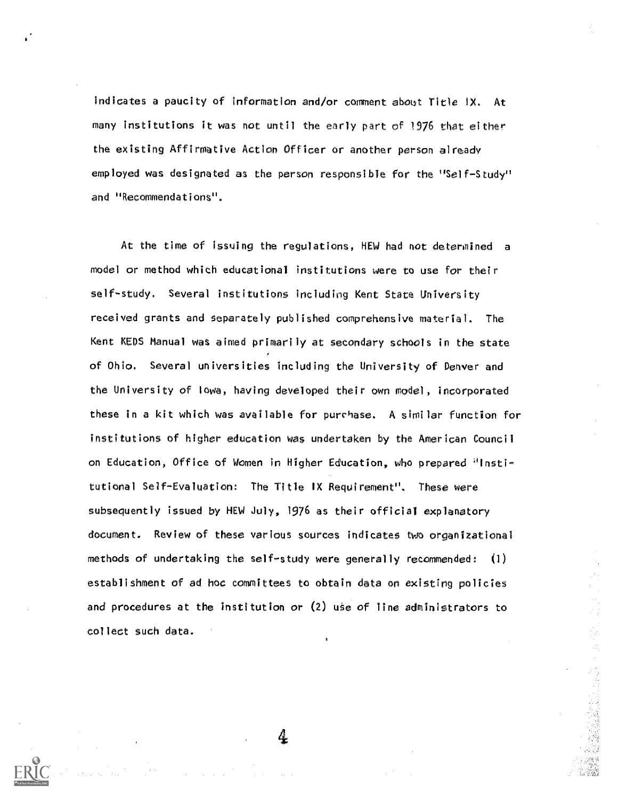indicates a paucity of information and/or comment about Title IX. At many institutions it was not until the early part of 1976 that either the existing Affirmative Action Officer or another person already employed was designated as the person responsible for the "Self-Study" and "Recommendations".

At the time of issuing the regulations, HEW had not determined a model or method which educational institutions were to use for their self-study. Several institutIons including Kent State University received grants and separately published comprehensive material. The Kent KEDS Manual was aimed primarily at secondary schools in the state of Ohio. Several universities including the University of Denver and the University of IOWa, having developed their own model, incorporated these in a kit which was available for purchase. A similar function for institutions of higher education Was undertaken by the American Council on Education, Office of Women in Higher Education, who prepared "Institutional Self-Evaluation: The Title IX Requirement". These were subsequently issued by HEW July, 1976 as their official explanatory document. Review of these various sources indicates two organizational methods of undertaking the self-study were generally recommended: (1) establishment of ad hoc committees to obtain data on existing policies and procedures at the institution or  $(2)$  use of line administrators to collect such data.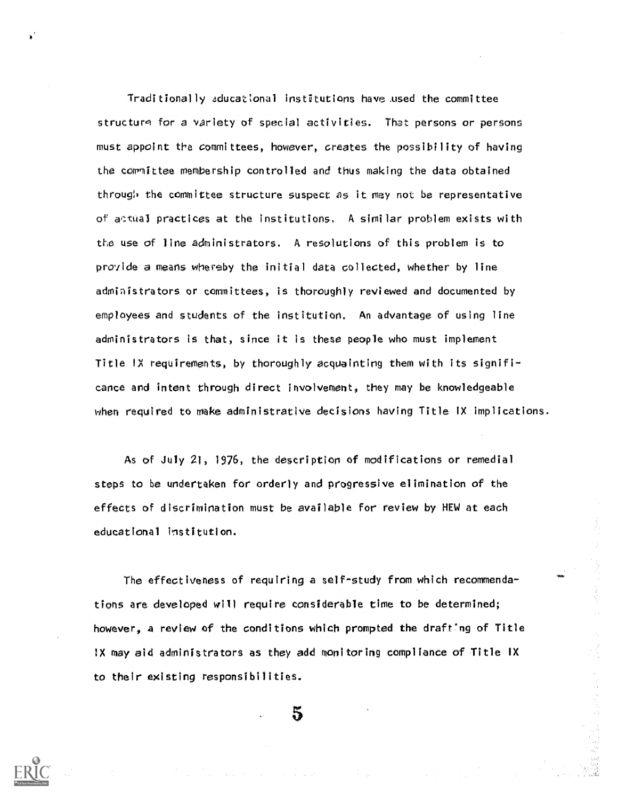Traditionally aducational institutions have used the committee structure for a variety of special activities. That persons or persons must appoint the committees, however, creates the possibility of having the committee membership controlled and thus making the data obtained through the committee structure suspect as it may not be representative of actual practices at the institutions. A similar problem exists with the use of line administrators. A resolutions of this problem is to provide a means whereby the initial data collected, whether by line administrators or committees, is thoroughly reviewed and documented by employees and students of the institution. An advantage of using line administrators is that, since it is these people who must implement Title IX requirements, by thoroughly acquainting them with its significance and intent through direct involvement, they may be knowledgeable when required to make administrative decisions having Title IX implications.

As of July 21, 1976, the description of modifications or remedial steps to be undertaken for orderly and progressive elimination of the effects of discrimination must be available for review by HEW at each educational institution.

The effectiveness of requiring a self-study from which recommendations are developed will require considerable time to be determined; however, a review of the conditions which prompted the drafting of Title IX may aid administrators as they add monitoring compliance of Title IX to their existing responsibilities.

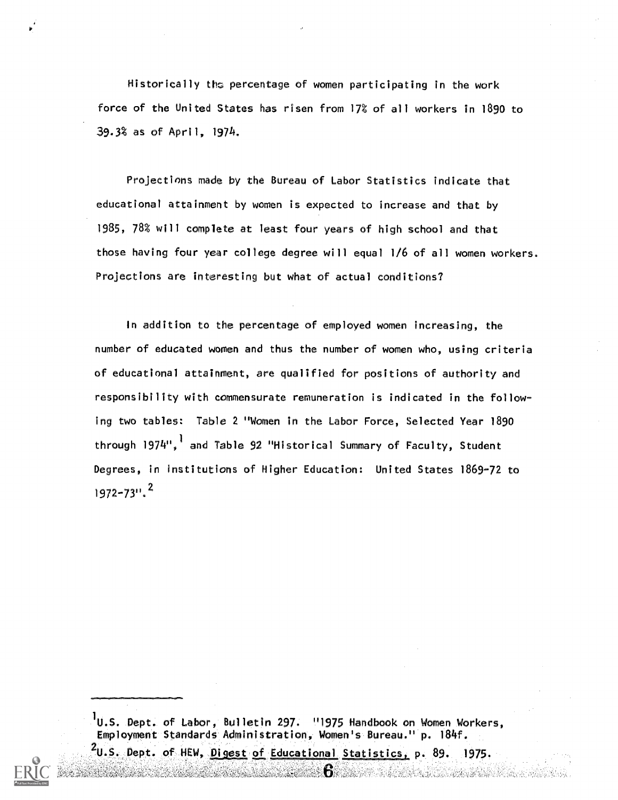Historically the percentage of women participating in the work force of the United States has risen from 17% of all workers in 1890 to 39.3% as of April, 1974.

Projections made by the Bureau of Labor Statistics indicate that educational attainment by women is expected to increase and that by 1985, 78% will complete at least four years of high school and that those having four year college degree will equal 1/6 of all women workers. Projections are interesting but what of actual conditions?

In addition to the percentage of employed women increasing, the number of educated women and thus the number of women who, using criteria of educational attainment, are qualified for positions of authority and responsibility with commensurate remuneration is indicated in the following two tables: Table 2 "Women in the Labor Force, Selected Year 1890 through 1974",' and Table 92 "Historical Summary of Faculty, Student Degrees, in institutions of Higher Education: United States 1869-72 to 1972-73". 2

 $1_{\text{U.S. Depth.}}$  of Labor, Bulletin 297. "1975 Handbook on Women Workers, Employment Standards Administration, Women's Bureau." p. 184f.  $2$  2008  $\pm$  2008  $\pm$ 

Dept. of HEW, <u>Digest of Educational Statistics</u>, p. 89. 1975.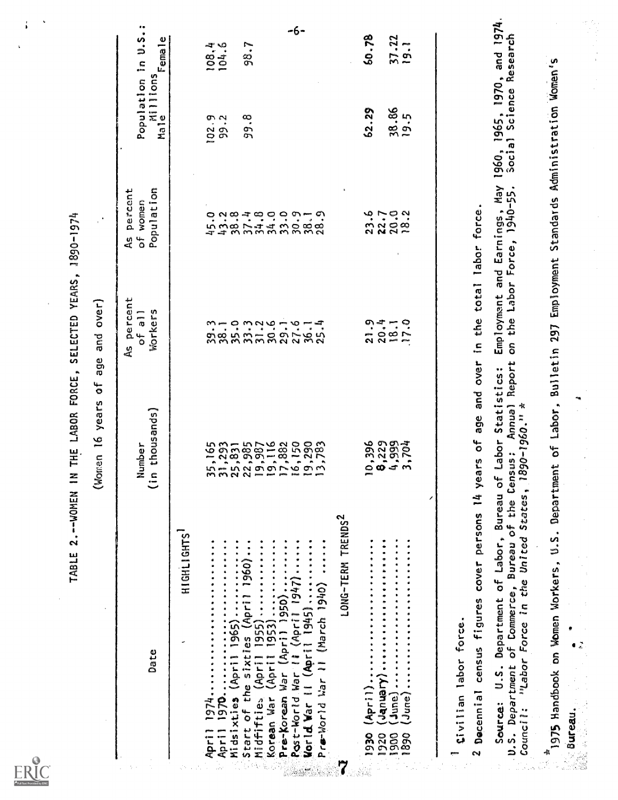| Full Text Provided by ERIC |  |
|----------------------------|--|

TABLE 2.--WOMEN IN THE LABOR FORCE, SELECTED YEARS, 1890-1974

(Women 16 years of age and over)

| s<br>condicion<br>condicion<br>きょっこうふしゅール<br>1993<br><b>229934</b><br>1993<br>1994<br>LONG-TERM TRENDS <sup>2</sup><br>HIGHLIGHTS<br>1920<br>1900 | of all<br>Workers<br>n thousands)<br>Number | Population in U.S.<br>Male<br>Male Female<br>Population<br>As percent<br>of women |
|---------------------------------------------------------------------------------------------------------------------------------------------------|---------------------------------------------|-----------------------------------------------------------------------------------|
|                                                                                                                                                   |                                             |                                                                                   |
|                                                                                                                                                   |                                             |                                                                                   |
|                                                                                                                                                   |                                             | 108,4<br>102.3<br>99.2                                                            |
|                                                                                                                                                   |                                             |                                                                                   |
|                                                                                                                                                   |                                             | 98.7<br>99.8                                                                      |
|                                                                                                                                                   |                                             |                                                                                   |
|                                                                                                                                                   |                                             |                                                                                   |
|                                                                                                                                                   |                                             |                                                                                   |
|                                                                                                                                                   |                                             |                                                                                   |
|                                                                                                                                                   |                                             |                                                                                   |
|                                                                                                                                                   |                                             |                                                                                   |
|                                                                                                                                                   |                                             |                                                                                   |
|                                                                                                                                                   |                                             | 60.78<br>62.29                                                                    |
|                                                                                                                                                   |                                             |                                                                                   |
|                                                                                                                                                   |                                             | 86<br>19.5                                                                        |
| 88                                                                                                                                                |                                             | $37.22$<br>19.1                                                                   |

I Civilian labor force.

2 Decennial census figures cover persons 14 years of age and over in the total labor force.

Source: U.S. Department of Labor, Bureau of Labor Statistics: Employment and Earnings, May 1960, 1965, 1970, and 1974.<br>U.S. Department of Commerce, Bureau of the Census: Annual Report on the Labor Force, 1940-55. Social Sc

 $\frac{3}{2}$  1975 Handbook on Women Workers, U.S. Department of Labor, Bulletin 297 Employment Standards Administration Women's **Second Surgeon.** 

 $\ddot{\cdot}$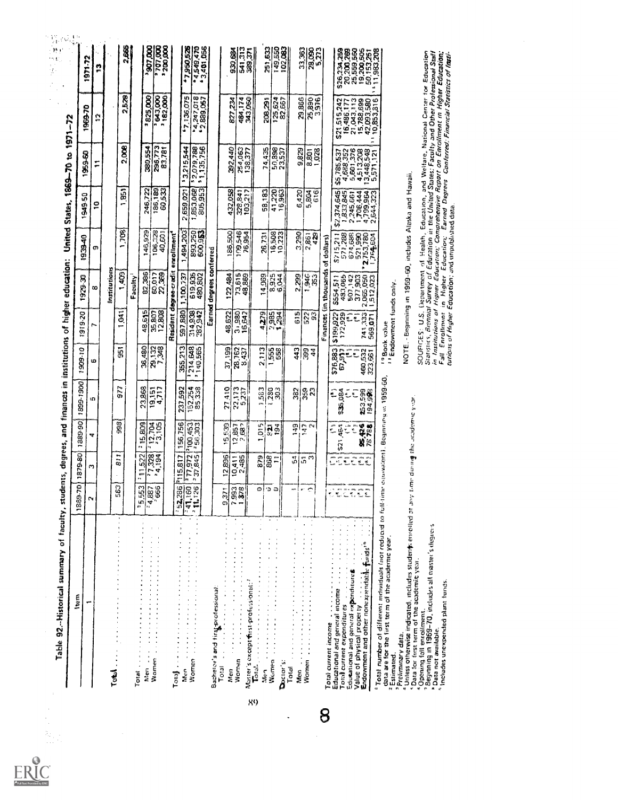| hem                                                                                                                                               | 1869-70             | 879-80                             | 1389-90                   | 1899-1900                 | 1909-10              |                                                    |                             |                                        |                                                                                            | United States, 1869-70 to 1971-72    |                                                        | $\frac{1}{2}$                                  |
|---------------------------------------------------------------------------------------------------------------------------------------------------|---------------------|------------------------------------|---------------------------|---------------------------|----------------------|----------------------------------------------------|-----------------------------|----------------------------------------|--------------------------------------------------------------------------------------------|--------------------------------------|--------------------------------------------------------|------------------------------------------------|
|                                                                                                                                                   | e.                  | m                                  |                           |                           |                      | 1919.70                                            | 1929-30                     | 1939-40                                | 1949.50                                                                                    | 196950                               | 1969.70                                                | St-179                                         |
|                                                                                                                                                   |                     |                                    | ক                         | ιD,                       | Ó                    |                                                    | œ                           | ø                                      | $\Xi$                                                                                      | ።                                    | ă                                                      | P                                              |
| Total                                                                                                                                             |                     |                                    |                           |                           |                      |                                                    | Institutions                |                                        |                                                                                            |                                      |                                                        |                                                |
|                                                                                                                                                   | 563                 | $\frac{1}{2}$                      | 98                        | 977                       | ī.                   | $\bar{5}$<br>≓                                     | Ş                           | 1,708                                  | ia<br>B<br>÷                                                                               | 2,008                                | 2,528                                                  | 2,665                                          |
|                                                                                                                                                   |                     |                                    |                           |                           |                      |                                                    | Faculty <sup>1</sup>        |                                        |                                                                                            |                                      |                                                        |                                                |
| hüen<br>Total                                                                                                                                     | 35.553              | 522<br>$\overline{1}$<br>ea.       | gg<br>ழ்<br>ċ,            | 23,868                    | 36,480               | 48,615                                             | 82,386                      | 146,929                                | 246,722                                                                                    | 380,554                              | 825,000<br>÷.                                          |                                                |
| Women                                                                                                                                             | $-666$<br>-4,887    | 1,328<br>$\tilde{\mathbf{r}}$<br>m | 12,704                    | $\frac{19.151}{4.717}$    | 29,132               | 12,808<br>35,807                                   | 60,017<br>22,369            | 106,328<br>40,601                      | 186,189<br>60,533                                                                          | 296,773<br>83,781                    | 00012190<br>182,000                                    | ,907,000<br>00010215                           |
| Total                                                                                                                                             |                     |                                    |                           |                           |                      |                                                    | Resident dagree-credit      | enrollment <sup>4</sup>                |                                                                                            |                                      |                                                        |                                                |
| inter.                                                                                                                                            | 52,286              | P115,817                           | 156,756                   | 237,592                   | 355,213              | 597,880                                            | 1,100,737                   | 494,203                                | 659,021<br>Ñ                                                                               | \$3,215,544                          | \$7,136,075                                            | 5295057                                        |
| <b>Women</b>                                                                                                                                      | 11,126<br>$-41,160$ | $\frac{225}{27,972}$               | 1100.453                  | 157,254<br>85,338         | 1214,648             | 214,932<br>282,942                                 | 619,932                     | <b>193,250)</b><br>600.953             | 1,853,0681                                                                                 | 2,079.788<br>\$1,135,756             | 1247.018                                               | 3,401,056<br>04549,470                         |
|                                                                                                                                                   |                     |                                    |                           |                           |                      |                                                    | Earned degrees conferred    |                                        |                                                                                            |                                      |                                                        |                                                |
| Bachelor's and first professional:<br>Total<br>Men                                                                                                | 9.371               | 12896                              | 539<br>စ္ခ                | 27,410                    | 37,199               | 48,622                                             | 122,484                     | 186,500                                | 432,058                                                                                    |                                      |                                                        |                                                |
| $\ddot{\cdot}$<br>$\frac{1}{2}$<br>$\ddot{\cdot}$<br><b>Nomen</b>                                                                                 | 7993                | 10,411                             | $\frac{12,857}{2,882}$    | 22,173<br>5,237           | 28,762               | 3.980                                              |                             | 109,546                                |                                                                                            | 292,440<br>254,063                   | 827,234                                                | 930,684                                        |
| $\ddot{\phantom{0}}$<br>Master's except first-professional: ?<br>$\frac{1}{2}$                                                                    |                     |                                    |                           |                           |                      | 16,642                                             | 73,515                      | 76,954                                 | 328,841                                                                                    | 138,377                              | 484,174<br>343,060                                     | 541,313<br>$\overline{5}$<br>g                 |
| $\ddot{\cdot}$<br>$\vec{b}$<br><b>Comment</b>                                                                                                     | Ó                   | 879                                | 015<br>y.                 | 563                       | 2.113                | 4279                                               | 14,969                      | 26,731                                 | 58,183                                                                                     | 74,435                               | 208,291                                                | 251,633                                        |
| Women<br>Doctor's:                                                                                                                                | ъ                   | 868                                | $\frac{5}{9}$<br>ä        | 303<br>230                | ង្ហឹង្ហី             | 985<br>¢۹                                          | 8.925                       | 16,508<br>10,223                       | 41,220<br>16,963                                                                           | 50,898                               | 125,624                                                | 149,550<br>02,083                              |
| Total<br>Men                                                                                                                                      |                     | ្លាំ                               | $\frac{5}{4}$             | 382                       | 443                  | 615                                                | 29g<br>N                    | 3,290                                  | 6,420                                                                                      |                                      |                                                        |                                                |
| Women                                                                                                                                             |                     | $\bar{a}^{\,n}$                    | È.<br>Ů,                  | ន្លឹង                     | 399<br>$\frac{4}{4}$ | $\overline{33}$                                    | $\frac{1}{3}$ $\frac{3}{3}$ | 2.861<br>429                           | 5,804<br>616                                                                               | 9,829<br>8,801                       | 29,866<br>25,890                                       | 33,363<br>28,090                               |
|                                                                                                                                                   |                     |                                    |                           |                           |                      | Finances                                           | (in thousands               | of dollars)                            |                                                                                            | 1,028                                |                                                        | 5,273                                          |
| Total current income                                                                                                                              |                     |                                    | Č                         | ¢.                        | \$76,883             | \$199,922                                          |                             |                                        |                                                                                            |                                      |                                                        |                                                |
| $\ddot{\cdot}$<br><b>Total current expenditures</b><br>Educational and general income                                                             |                     | Đ.<br>툇                            | $\frac{7}{4}$<br>ŧ,<br>57 | $\frac{4}{9}$<br>ś,<br>s, | 67,917               | 172,929<br>í                                       | 433,065<br>\$554,511        | 5715,211                               | \$2,374,645<br>1,833,845                                                                   | 4,688,352<br>\$5,785,537             | \$21,515,242<br>16,486,177<br>21,043,113<br>15,788,699 | S26,234,259                                    |
| Educational and general expenditures<br>Value of physical property                                                                                |                     | Æ.                                 | 蛀                         | 된                         |                      | 뢳                                                  | 507,142                     | 674,698                                | 2,245,661<br>1,706,444                                                                     |                                      |                                                        | 20,200,269                                     |
| Endowment and other nonexpendable funds <sup>to</sup><br>$\frac{1}{2}$                                                                            |                     | <b>He Ho</b><br>乱乱                 | 35,426                    | 253,598<br>194,998<br>ដឹ  | 460,532<br>323,661   | 741,333<br>569,071                                 | 2,065,050<br>512,023        | 521,990<br>2,753,780<br>1.764,584<br>s | 4,799,964<br>2,644,323                                                                     | 4,513,208<br>13,448,548<br>5,571,121 | 10,853,316<br>42,093,580                               | 192001383<br>192002<br>19383.793<br>11.983.794 |
| 1Total number of different individuals (not reduced to full-limic equivalent).<br>data are for the first term of the academic year.<br>Estimated. |                     |                                    |                           | Begannes as 1959-60,      |                      | <sup>11</sup> Endowment funds only.<br>"Book value |                             |                                        |                                                                                            |                                      |                                                        |                                                |
| -Unless otherwise indicated, includes students emotion and time data af the codemic ver-<br><sup>3</sup> Preliminary data.                        |                     |                                    |                           |                           |                      |                                                    |                             |                                        | NOTE. - Beginning in 1959-60, includes Alaska and Hawaii.                                  |                                      |                                                        |                                                |
| Data for first term of the academic year.<br><sup>4</sup> Opening fall enrollment.                                                                |                     |                                    |                           |                           |                      |                                                    |                             |                                        | SOUPICES: U.S. Opportment of Health, Education, and Welfare, National Center for Education |                                      |                                                        |                                                |

 $\sum_{\mathbf{A}\text{full fast Proof of type}\atop \mathbf{A}\text{full fast.}}$ 

8

" Data not available.<br>"Includes unexpended plant funds.

in Institutions of Higuer Educatory, Comprehensive Report on Early Unie Cure Francessional Stati<br>Fall Enrollment in Higher Education; Earned Degrees Conferred; Financial Statistics of Inglie<br>turions of Higher Education; an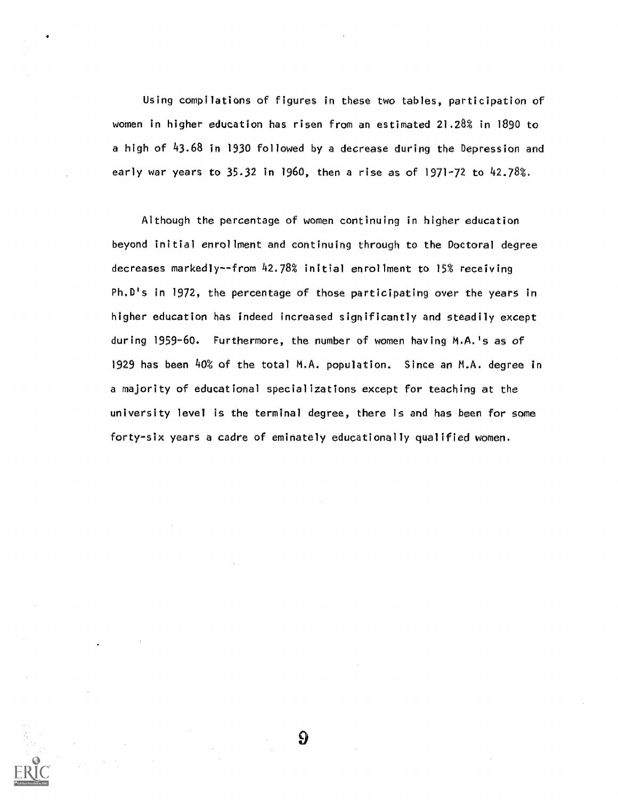Using compilations of figures in these two tables, participation of women in higher education has risen from an estimated 21.28% in 1890 to a high of 43.68 in 1930 followed by a decrease during the Depression and early war years to 35.32 in 1960, then a rise as of 1971-72 to 42.78%.

Although the percentage of women continuing in higher education beyond initial enrollment and continuing through to the Doctoral degree decreases markedly- from 42.78% initial enrollment to 15% receiving Ph.D's In 1972, the percentage of those participating over the years in higher education has indeed increased significantly and steadily except during 1959-60. Furthermore, the number of women having M.A.'s as of 1929 has been 40% of the total M.A. population. Since an M.A. degree in a majority of educational specializations except for teaching at the university level is the terminal degree, there is and has been for some forty-six years a cadre of eminately educationally qualified women.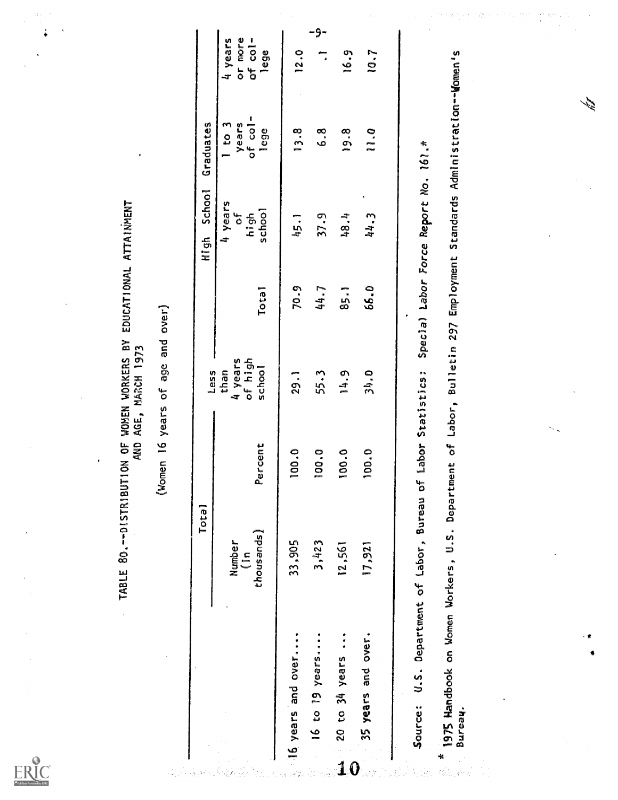TABLE 80.--DISTRIBUTION OF WOMEN WORKERS BY EDUCATIONAL ATTAINMENT<br>AND AGE, MARCH 1973

(Women 16 years of age and over)

|                                         | Tota1                        |               | Less                                 |                   | High School                          | Graduates                              |                                       |
|-----------------------------------------|------------------------------|---------------|--------------------------------------|-------------------|--------------------------------------|----------------------------------------|---------------------------------------|
|                                         | thous ands)<br>Number<br>(in | Percent       | 4 years<br>of high<br>school<br>than | Tota <sub>1</sub> | 4 years<br>school<br>بہ<br>0<br>high | years<br>of col-<br>$1$ to $3$<br>lege | 4 years<br>or more<br>of col-<br>lege |
| 16 years and over                       | 33,905                       | 100.0         | $\frac{1}{29}$ .                     | 70.9              | 1,54                                 | 13.8                                   | $\frac{0}{2}$                         |
| 16 to 19 years                          | 3,423                        | 100.0         | 55.3                                 | 44.7              | 37.9                                 | ه<br>م                                 | -9-                                   |
| 20 to 34 years<br>$\overset{\circ}{1}0$ | 12,561                       | $\frac{0}{2}$ | 14.9                                 | 35.1              | 48.4                                 | $\frac{8}{2}$                          | 16.9                                  |
| 35 years and over.                      | 17,921                       | 100.0         | 34.0                                 | 66.0              | 44.3                                 | $\frac{1}{2}$                          | 10.7                                  |

ERIC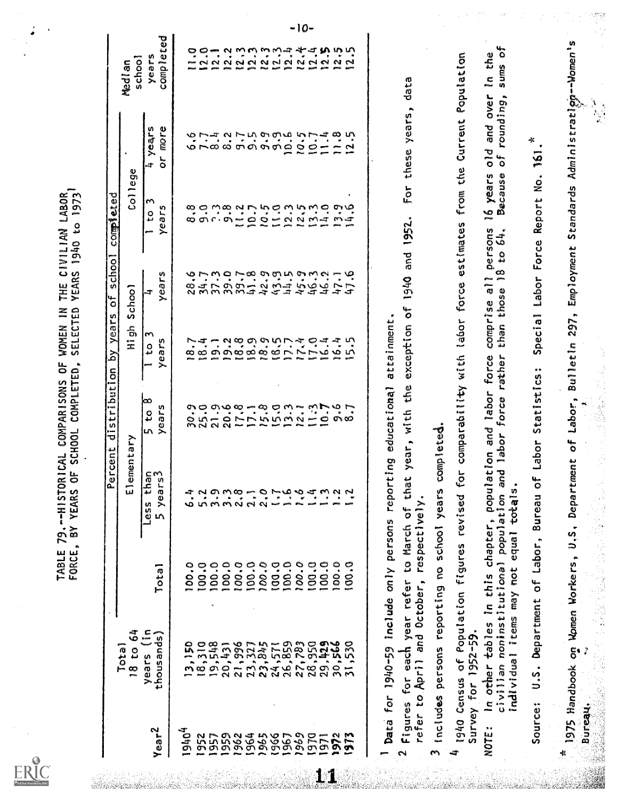ERIC

completed Total  $\begin{array}{|l|l|} \hline \text{Total} & \text{Fereenc distribution by years of school} \hline \text{Solution} & \text{V} & \text{N} \hline \text{A} & \text{A} & \text{B} \hline \text{V} & \text{A} & \text{B} \hline \text{V} & \text{A} & \text{B} \hline \text{V} & \text{A} & \text{B} \hline \text{V} & \text{A} & \text{B} \hline \text{V} & \text{A} & \text{B} \hline \text{V} & \text{A} & \text{B} \hline \text{V} & \text{B} & \text{B} \h$ 19,150<br>
19,150<br>
19,150<br>
19,150<br>
19,150<br>
19,150<br>
19,150<br>
19,150<br>
19,150<br>
19,150<br>
19,150<br>
19,150<br>
19,150<br>
19,150<br>
19,150<br>
19,150<br>
19,150<br>
19,150<br>
19,150<br>
19,150<br>
19,150<br>
19,150<br>
19,150<br>
19,150<br>
19,150<br>
19,150<br>
19,150<br>
19,15 years school **Median**  to 3 years 4 years Or more. TABLE 79.--HISTORICAL COMPARISONS OF WOMEN IN THE CIVILIAN LABOR<br>FORCE, BY YEARS OF SCHOOL COMPLETED, SELECTED YEARS 1940 to 1973<sup>1</sup><br>-----------------------<u>Percent distribution by years of school comp<sup>3</sup>eted<br>-------------</u> Total 18 to 64<br>
18 to 64<br>
Years (in Total Less than 5 to 8 1 to 3 1<br>
thousands) Total 5 years<sup>3</sup> years years years years<br>
13,150 100.0 6.4 30.9 18.4 28.6 8.8<br>
18,110 100.0 5.2<br>
18.4 34.7 28.6 8.8<br>
19,548 100.0 3.9<br>
21.9 1  $1$  to  $3$  $\frac{4}{3}$   $\frac{4}{3}$   $\frac{4}{3}$   $\frac{4}{3}$   $\frac{4}{3}$   $\frac{4}{3}$   $\frac{4}{3}$   $\frac{4}{3}$   $\frac{4}{3}$   $\frac{4}{3}$   $\frac{4}{3}$   $\frac{4}{3}$   $\frac{4}{3}$   $\frac{4}{3}$   $\frac{4}{3}$   $\frac{4}{3}$   $\frac{4}{3}$   $\frac{4}{3}$   $\frac{4}{3}$   $\frac{4}{3}$   $\frac{4}{3}$   $\frac{4}{3}$  to 3 years 2000 x 2010<br>The 3 years 2000 x 2010<br>The 3 years 2000 x 2011 1 $Y<sub>ear</sub>2$ 

bata for 1940-59 include only persons reporting educational attainment.

11

r Data for 1940-59 Include only persons reporting educational attainment.<br>2 refer to April and October, respectively.<br>3 includes persons reporting no school years completed.<br>4 1940 Census of Population figures revised for

10 - L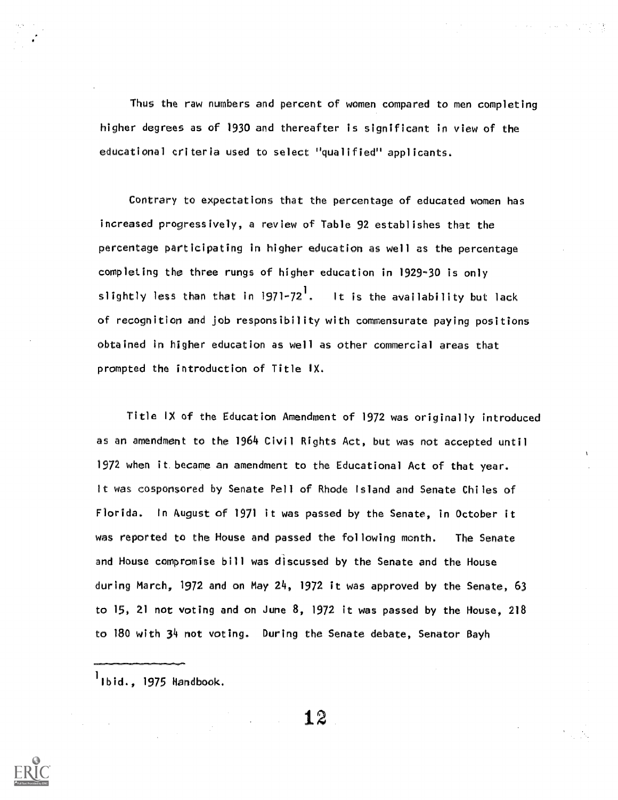Thus the raw numbers and percent of women compared to men completing higher degrees as of 1930 and thereafter is significant in view of the educational crIteria used to select "qualified" applicants.

Contrary to expectations that the percentage of educated women has increased progressively, a review of Table 92 establishes that the percentage participating in higher education as well as the percentage completing the three rungs of higher education in 1929-30 is only slightly less than that in 1971-72'. It is the availability but lack of recognition and job responsibility with commensurate paying positions obtained in higher education as well as other commercial areas that prompted the introduction of Title IX.

Title IX of the Education Amendment of 1972 was originally introduced as an amendment to the 1964 Civil Rights Act, but was not accepted until 1972 when it. became an amendment to the Educational Act of that year. It was cosponsored by Senate Pell of Rhode Island and Senate Chiles of Florida. In August of 1971 it was passed by the Senate, in October it was reported to the House and passed the following month. The Senate and House compromise bill was discussed by the Senate and the House during March, 1972 and on May 24, 1972 it was approved by the Senate, 63 to 15, 21 not voting and on June 8, 1972 it was passed by the House, 218 to 180 with 34 not voting. During the Senate debate, Senator Dayh

 $<sup>1</sup>$ Ibid., 1975 Handbook.</sup>

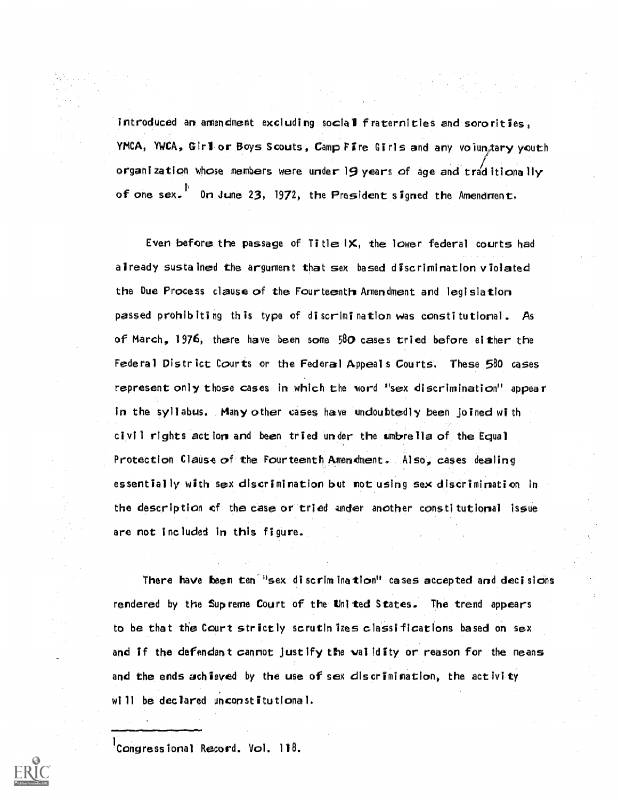introduced an amendment excluding social fraternities and soro rities, YMCA, YWCA, Girl or Boys Scouts, Camp Fire Girls and any voluntary youth organization whose members were under 19 years of age and traditionally of one sex.  $P$  on June 23, 1972, the President signed the Amendment.

Even before the passage of Title  $\mathsf{I} \mathsf{X}$ , the lower federal courts had already sustained the argument that sex based discrimination violated the Due Process clause of the Fourteenth Amendment and legislation passed prohibiting this type of discrimination was constitutional. As of March, 1976, there have been some  $580$  cases tried before either the Federal District Courts or the Federal Appeals Courts. These 580 cases represent only those cases in which the word "sex discrimination" appear in the syllabus. Many other cases have undoubtedly been joined with civil rights action and been tried under the umbrella of the Equal Protection Clause of the Fourteenth Amendment. Also, cases dealing essentially with sex discrimination but not using sex discrimination in the description of the case or tried under another constitutional issue are not included in this figure.

There have been ten<sup>- u</sup>sex discrimination" cases accepted and decisions rendered by the Supreme Court of the United States. The trend appears to be that the Court strictly scrutin izes classifications based on sex and if the defendant cannot justify the validity or reason for the means and the ends achieved by the use of sex discrimination, the activity will be declared unconstitutional.

 $^{\prime}$ Congressional Record. Vol. 118.

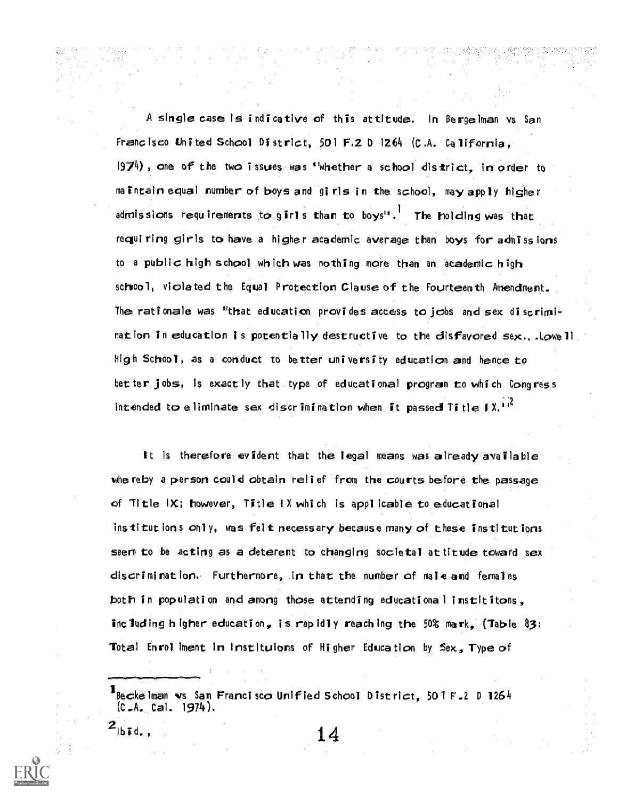A single case is indicative of this attitude. In Bergelman vs San Franc isco United School District, 501 F.2 D 1264 (C.A. California, 1974) , one of the two i ssues was ''whether a school district, in order to ma intain equal number of boys and girls in the school, may apply higher admissions requirements to girls than to boys". The holding was that requiring girls to have a higher academic average than boys for admissions to a public high school which was nothing more than an academic high school, violated the Equal Protection Clause of the Fourteenth Amendment. The rationale was "that education provides access to jobs and sex discriminat ion in education is potentially destructive to the disfavored sex...Lowe <sup>1</sup> High School, as a conduct to better uni versi ty education and hence to bet ter jobs, is exactly that type of educational program to which Congress intended to eliminate sex discrimination when it passed Title  $1X^{11^2}$ 

It is therefore evident that the legal means was already available whe reby a person could obtain relief from the courts before the passage of Title  $IX$ ; however, Title IX which is applicable to educational institut ions only, was felt necessary because many of these institutions seem to be acting as a deterent to changing societal at titude toward sex discrl mi rat ion. Furthermore, in that the number of male and femal es both in population and amorg those attending educational instititons, including higher education, is rapidly reaching the 50% mark, (Table 83: Total Enrol ment in Instituions of Higher Education by  $Sex$ , Type of

Becke Iman vs San Francisco Unified School District, 501 F.2 D 1264 (C.A. Cal. 1974).

Ibid.,  $14$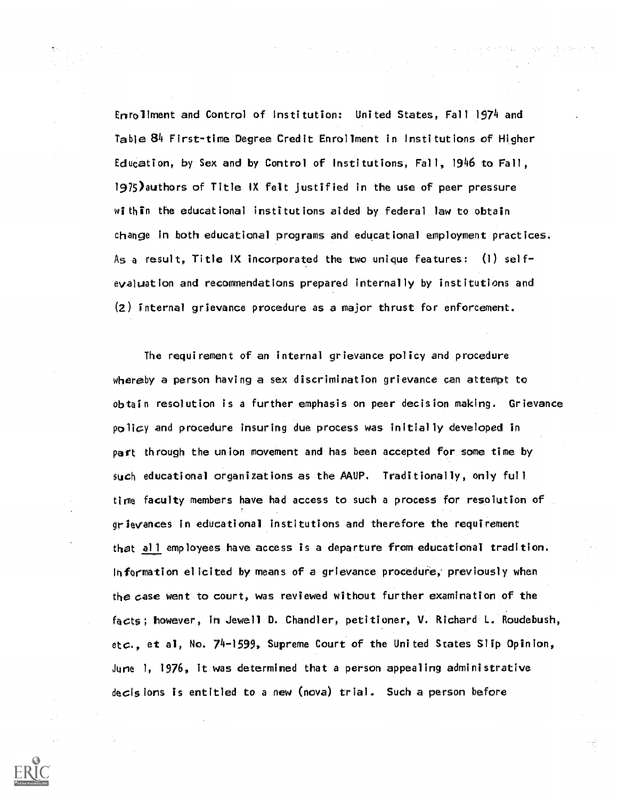Enrollment and Control of Institution: United States, Fall 1974 and Table 84 First-time Degree Credit Enrollment in Institutions of Higher Education, by Sex and by Control of Institutions, Fall, 1946 to Fall, 1975)authors of Title IX felt justified in the use of peer pressure within the educational institutions aided by federal law to obtain change in both educational programs and educational employment practices. As a result, Title IX incorporated the two unique features: (1) selfevaluation and recommendations prepared internally by institutions and (2) internal grievance procedure as a major thrust for enforcement.

The requirement of an internal grievance policy and procedure whereby a person having a sex discrimination grievance can attempt to obtain resolution is a further emphasis on peer decision making. Grievance  $po$ li $cy$  and procedure insuring due process was initially developed in part through the union movement and has been accepted for some time by such educational organizations as the AAUP. Traditionally, only full time faculty members have had access to such a process for resolution of grievances in educational institutions and therefore the requirement that all employees have access is a departure fromeducational tradition. In formation elicited by means of a grievance procedure, previously when the case went to court, was reviewed without further examination of the facts; however, in Jewell D. Chandler, petitioner, V. Richard L. Roudebush, etc., et al, No. 74-1599, Supreme Court of the United States Slip Opinion, Jurie 1, 1976, it was determined that a person appealing administrative decisions is entitled to a new (nova) trial. Such a person before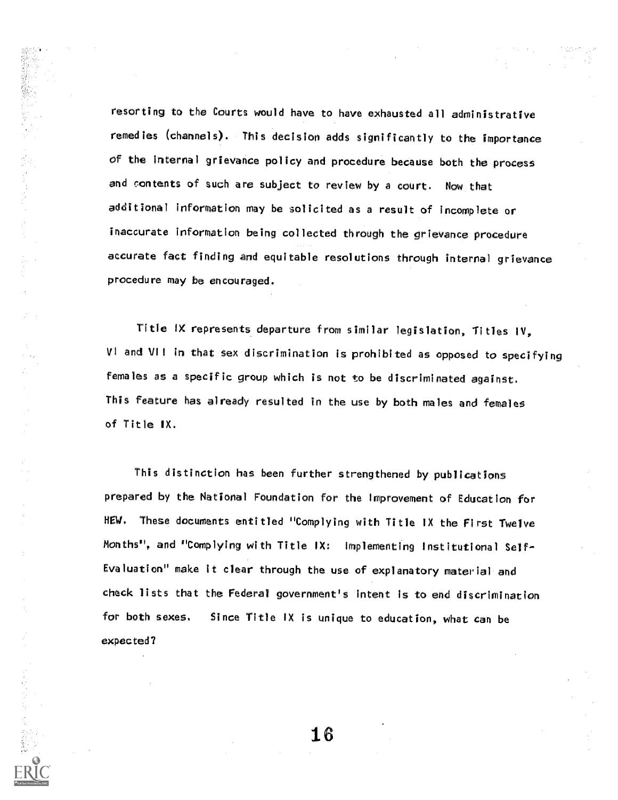resorting to the Courts would have to have exhausted all administrative remedies (channels). This decision adds significantly to the importance of the Internal grievance policy and procedure because both the process and contents of such are subject to review by a court. Now that additional information may be solicited as a result of incomplete or inaccurate information being collected through the grievance procedure accurate fact finding and equitable resolutions through Internal grievance procedure may be encouraged.

「整備の基本の基本の場合によって、このことによっていることになっている」ということに、「このことになっている」ということになっていることになっていることになっていることには、「このことには、「このこと

医双侧反射 医海绵鞘

Title IX represents departure from similar legislation, Titles IV, VI and VII in that sex discrimination is prohibited as opposed to specifying females as a specific group which is not to be discriminated against. This feature has already resulted in the use by both males and females f Title IX.

This distinction has been further strengthened by publications prepared by the National Foundation for the Improvement of Education for HEW. These documents entitled "Complying with Title IX the First Twelve Months", and "Complying with Title IX: Implementing Institutional Self-Evaluation" make it clear through the use of explanatory material and check lists that the Federal government's intent is to end discrimination for both sexes. Since Title IX is unique to education, what can be expected?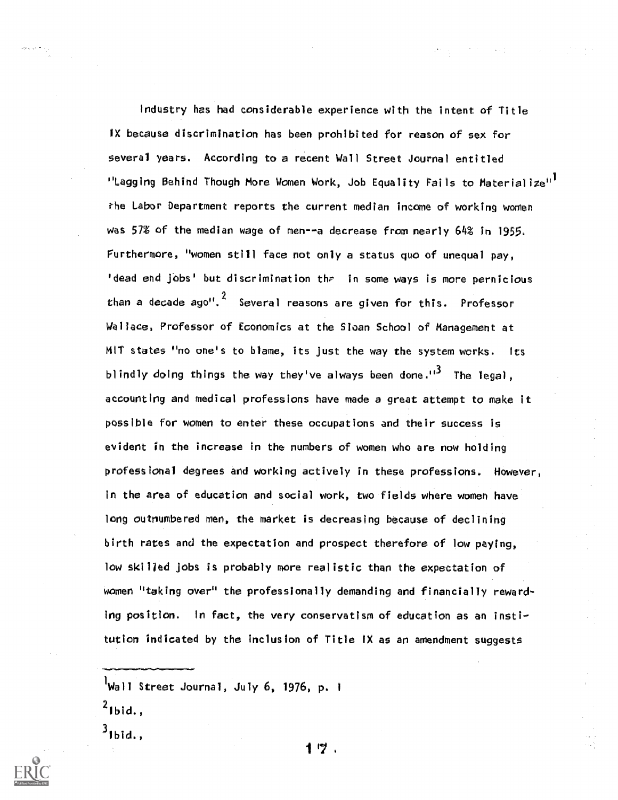Industry has had considerable experience with the intent of Title IX because discrimination has been prohibited for reason of sex for several years. According to a recent Wall Street Journal entitled "Lagging Behind Though More Women Work, Job Equality Fails to Materialize"<sup>1</sup> rhe Labor Department reports the current median income of working women was 57% of the median wage of men--a decrease from nearly 64% in 1955. Furthermore, "women still face not only a status quo of unequal pay, 'dead end jobs' but discrimination the in some ways is more pernicious than a decade ago".<sup>4</sup> Several reasons are given for this. Professor Wallace, Professor of Economics at the Sloan School of Management at MIT states "no one's to blame, its just the way the system works. Its blindly doing things the way they've always been done. $13$  The legal, accounting and medical professions have made a great attempt to make it possible for women to enter these occupations and their success is evident in the increase in the numbers of women who are now holding professional degrees and working actively in these professions. However, in the area of education and social work, two fields where women have long outnumbered men, the market is decreasing because of declining birth rates and the expectation and prospect therefore of low paying, low skilled jobs is probably more realistic than the expectation of women "taking over" the professionally demanding and financially rewarding position. In fact, the very conservatism of education as an institution indicated by the inclusion of Title IX as an amendment suggests

 $^{1}$ Wall Street Journal, July 6, 1976, p. 1

- $2$ Ibid.,
- $3_{\text{lbid.}}$

1 7 、

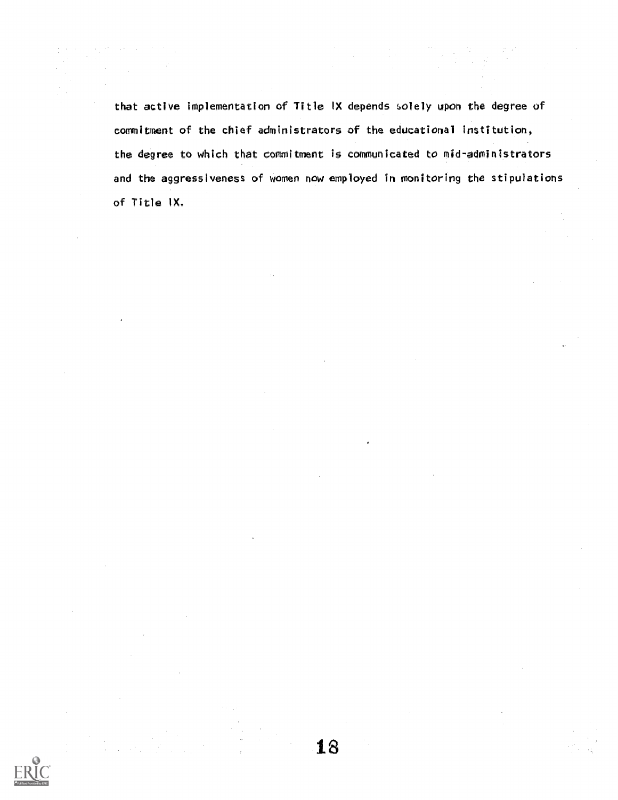that active implementation of Title IX depends solely upon the degree of commitment of the chief administrators of the educational institution, the degree to which that commitment is communicated to mid-administrators and the aggressiveness of women now employed in monitoring the stipulations of Title IX.